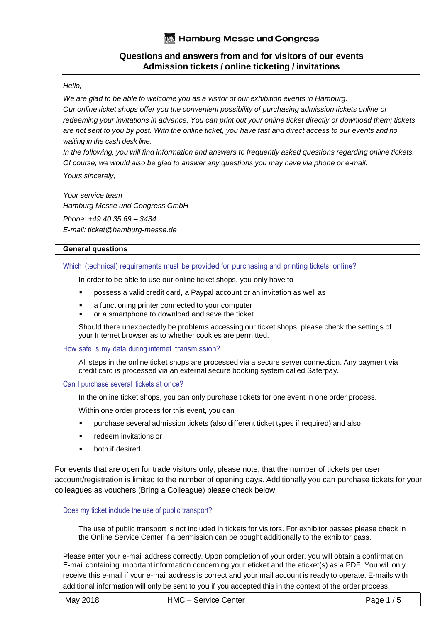# Hello,

We are glad to be able to welcome you as a visitor of our exhibition events in Hamburg. Our online ticket shops offer you the convenient possibility of purchasing admission tickets online or redeeming your invitations in advance. You can print out your online ticket directly or download them; tickets are not sent to you by post. With the online ticket, you have fast and direct access to our events and no waiting in the cash desk line.

In the following, you will find information and answers to frequently asked questions regarding online tickets. Of course, we would also be glad to answer any questions you may have via phone or e-mail.

Yours sincerely,

Your service team Hamburg Messe und Congress GmbH Phone: +49 40 35 69 – 3434 E-mail: ticket@hamburg-messe.de

# **General questions**

# Which (technical) requirements must be provided for purchasing and printing tickets online?

In order to be able to use our online ticket shops, you only have to

- possess a valid credit card, a Paypal account or an invitation as well as
- a functioning printer connected to your computer
- or a smartphone to download and save the ticket

Should there unexpectedly be problems accessing our ticket shops, please check the settings of your Internet browser as to whether cookies are permitted.

# How safe is my data during internet transmission?

All steps in the online ticket shops are processed via a secure server connection. Any payment via credit card is processed via an external secure booking system called Saferpay.

# Can I purchase several tickets at once?

In the online ticket shops, you can only purchase tickets for one event in one order process.

Within one order process for this event, you can

- purchase several admission tickets (also different ticket types if required) and also
- redeem invitations or
- both if desired.

For events that are open for trade visitors only, please note, that the number of tickets per user account/registration is limited to the number of opening days. Additionally you can purchase tickets for your colleagues as vouchers (Bring a Colleague) please check below.

# Does my ticket include the use of public transport?

The use of public transport is not included in tickets for visitors. For exhibitor passes please check in the Online Service Center if a permission can be bought additionally to the exhibitor pass.

| May 2018 | HMC<br>:– Service Center . | Page 1/5 |
|----------|----------------------------|----------|
|----------|----------------------------|----------|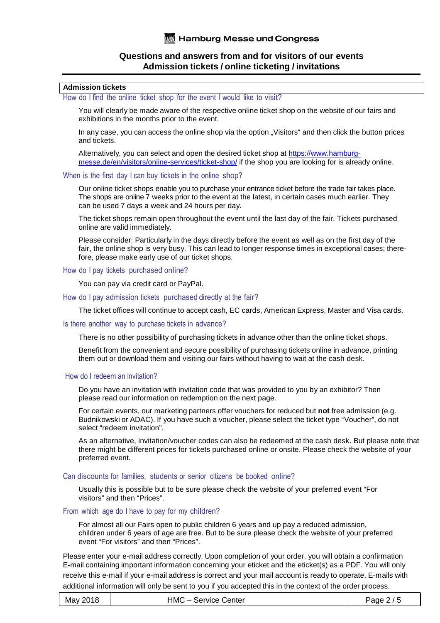# **Admission tickets**

How do I find the online ticket shop for the event I would like to visit?

You will clearly be made aware of the respective online ticket shop on the website of our fairs and exhibitions in the months prior to the event.

In any case, you can access the online shop via the option "Visitors" and then click the button prices and tickets.

Alternatively, you can select and open the desired ticket shop at https://www.hamburgmesse.de/en/visitors/online-services/ticket-shop/ if the shop you are looking for is already online.

# When is the first day I can buy tickets in the online shop?

Our online ticket shops enable you to purchase your entrance ticket before the trade fair takes place. The shops are online 7 weeks prior to the event at the latest, in certain cases much earlier. They can be used 7 days a week and 24 hours per day.

The ticket shops remain open throughout the event until the last day of the fair. Tickets purchased online are valid immediately.

Please consider: Particularly in the days directly before the event as well as on the first day of the fair, the online shop is very busy. This can lead to longer response times in exceptional cases; therefore, please make early use of our ticket shops.

#### How do I pay tickets purchased online?

You can pay via credit card or PayPal.

How do I pay admission tickets purchased directly at the fair?

The ticket offices will continue to accept cash, EC cards, American Express, Master and Visa cards.

#### Is there another way to purchase tickets in advance?

There is no other possibility of purchasing tickets in advance other than the online ticket shops.

Benefit from the convenient and secure possibility of purchasing tickets online in advance, printing them out or download them and visiting our fairs without having to wait at the cash desk.

# How do I redeem an invitation?

Do you have an invitation with invitation code that was provided to you by an exhibitor? Then please read our information on redemption on the next page.

For certain events, our marketing partners offer vouchers for reduced but **not** free admission (e.g. Budnikowski or ADAC). If you have such a voucher, please select the ticket type "Voucher", do not select "redeem invitation".

As an alternative, invitation/voucher codes can also be redeemed at the cash desk. But please note that there might be different prices for tickets purchased online or onsite. Please check the website of your preferred event.

# Can discounts for families, students or senior citizens be booked online?

Usually this is possible but to be sure please check the website of your preferred event "For visitors" and then "Prices".

# From which age do I have to pay for my children?

For almost all our Fairs open to public children 6 years and up pay a reduced admission, children under 6 years of age are free. But to be sure please check the website of your preferred event "For visitors" and then "Prices".

| May 2018 | HMC - Service Center | Page $2/5$ |
|----------|----------------------|------------|
|----------|----------------------|------------|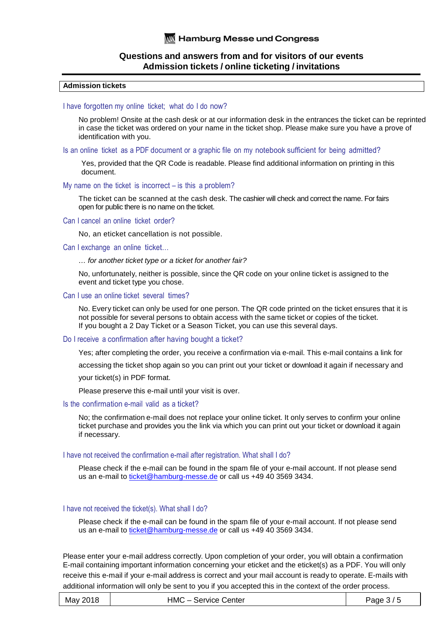### **Admission tickets**

#### I have forgotten my online ticket; what do I do now?

No problem! Onsite at the cash desk or at our information desk in the entrances the ticket can be reprinted in case the ticket was ordered on your name in the ticket shop. Please make sure you have a prove of identification with you.

Is an online ticket as a PDF document or a graphic file on my notebook sufficient for being admitted?

Yes, provided that the QR Code is readable. Please find additional information on printing in this document.

#### My name on the ticket is incorrect – is this a problem?

The ticket can be scanned at the cash desk. The cashier will check and correct the name. For fairs open for public there is no name on the ticket.

#### Can I cancel an online ticket order?

No, an eticket cancellation is not possible.

#### Can I exchange an online ticket…

### … for another ticket type or a ticket for another fair?

No, unfortunately, neither is possible, since the QR code on your online ticket is assigned to the event and ticket type you chose.

# Can I use an online ticket several times?

No. Every ticket can only be used for one person. The QR code printed on the ticket ensures that it is not possible for several persons to obtain access with the same ticket or copies of the ticket. If you bought a 2 Day Ticket or a Season Ticket, you can use this several days.

# Do I receive a confirmation after having bought a ticket?

Yes; after completing the order, you receive a confirmation via e-mail. This e-mail contains a link for

accessing the ticket shop again so you can print out your ticket or download it again if necessary and

your ticket(s) in PDF format.

Please preserve this e-mail until your visit is over.

# Is the confirmation e-mail valid as a ticket?

No; the confirmation e-mail does not replace your online ticket. It only serves to confirm your online ticket purchase and provides you the link via which you can print out your ticket or download it again if necessary.

#### I have not received the confirmation e-mail after registration. What shall I do?

Please check if the e-mail can be found in the spam file of your e-mail account. If not please send us an e-mail to ticket@hamburg-messe.de or call us +49 40 3569 3434.

# I have not received the ticket(s). What shall I do?

Please check if the e-mail can be found in the spam file of your e-mail account. If not please send us an e-mail to ticket@hamburg-messe.de or call us +49 40 3569 3434.

| May 2018 | HMC - Service Center | Page $3/5$ |
|----------|----------------------|------------|
|----------|----------------------|------------|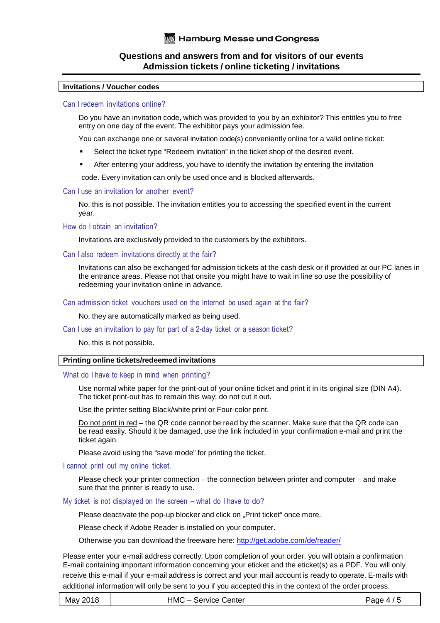# **Invitations / Voucher codes**

# Can I redeem invitations online?

Do you have an invitation code, which was provided to you by an exhibitor? This entitles you to free entry on one day of the event. The exhibitor pays your admission fee.

You can exchange one or several invitation code(s) conveniently online for a valid online ticket:

- Select the ticket type "Redeem invitation" in the ticket shop of the desired event.
- After entering your address, you have to identify the invitation by entering the invitation

code. Every invitation can only be used once and is blocked afterwards.

# Can I use an invitation for another event?

No, this is not possible. The invitation entitles you to accessing the specified event in the current year.

How do I obtain an invitation?

Invitations are exclusively provided to the customers by the exhibitors.

# Can I also redeem invitations directly at the fair?

Invitations can also be exchanged for admission tickets at the cash desk or if provided at our PC lanes in the entrance areas. Please not that onsite you might have to wait in line so use the possibility of redeeming your invitation online in advance.

Can admission ticket vouchers used on the Internet be used again at the fair?

No, they are automatically marked as being used.

# Can I use an invitation to pay for part of a 2-day ticket or a season ticket?

No, this is not possible.

# **Printing online tickets/redeemed invitations**

What do I have to keep in mind when printing?

Use normal white paper for the print-out of your online ticket and print it in its original size (DIN A4). The ticket print-out has to remain this way; do not cut it out.

Use the printer setting Black/white print or Four-color print.

Do not print in red – the QR code cannot be read by the scanner. Make sure that the QR code can be read easily. Should it be damaged, use the link included in your confirmation e-mail and print the ticket again.

Please avoid using the "save mode" for printing the ticket.

I cannot print out my online ticket.

Please check your printer connection – the connection between printer and computer – and make sure that the printer is ready to use.

My ticket is not displayed on the screen – what do I have to do?

Please deactivate the pop-up blocker and click on "Print ticket" once more.

Please check if Adobe Reader is installed on your computer.

Otherwise you can download the freeware here: http://get.adobe.com/de/reader/

| May 2018 | HMC<br><sub>ン</sub> ー Service Center i | Page 4 $\prime$ |
|----------|----------------------------------------|-----------------|
|----------|----------------------------------------|-----------------|